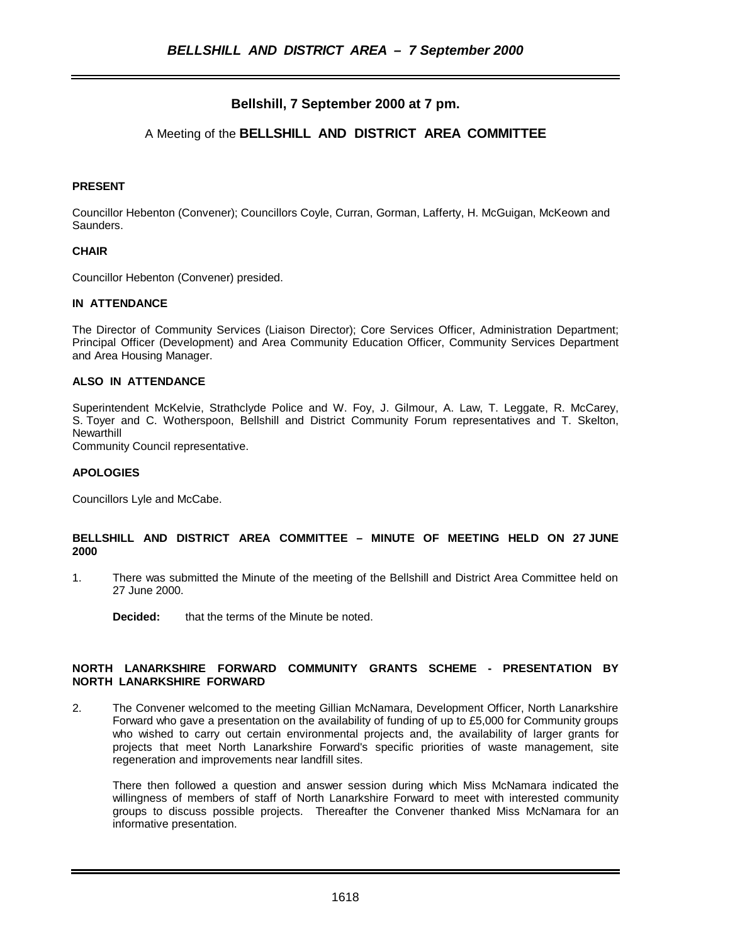# **Bellshill, 7 September 2000 at 7 pm.**

# A Meeting of the **BELLSHILL AND DISTRICT AREA COMMITTEE**

# **PRESENT**

Councillor Hebenton (Convener); Councillors Coyle, Curran, Gorman, Lafferty, H. McGuigan, McKeown and Saunders.

# **CHAIR**

Councillor Hebenton (Convener) presided.

# **IN ATTENDANCE**

The Director of Community Services (Liaison Director); Core Services Officer, Administration Department; Principal Officer (Development) and Area Community Education Officer, Community Services Department and Area Housing Manager.

# **ALSO IN ATTENDANCE**

Superintendent McKelvie, Strathclyde Police and W. Foy, J. Gilmour, A. Law, T. Leggate, R. McCarey, S. Toyer and C. Wotherspoon, Bellshill and District Community Forum representatives and T. Skelton, **Newarthill** 

Community Council representative.

# **APOLOGIES**

Councillors Lyle and McCabe.

# **BELLSHILL AND DISTRICT AREA COMMITTEE – MINUTE OF MEETING HELD ON 27 JUNE 2000**

- 1. There was submitted the Minute of the meeting of the Bellshill and District Area Committee held on 27 June 2000.
	- **Decided:** that the terms of the Minute be noted.

### **NORTH LANARKSHIRE FORWARD COMMUNITY GRANTS SCHEME - PRESENTATION BY NORTH LANARKSHIRE FORWARD**

2. The Convener welcomed to the meeting Gillian McNamara, Development Officer, North Lanarkshire Forward who gave a presentation on the availability of funding of up to £5,000 for Community groups who wished to carry out certain environmental projects and, the availability of larger grants for projects that meet North Lanarkshire Forward's specific priorities of waste management, site regeneration and improvements near landfill sites.

There then followed a question and answer session during which Miss McNamara indicated the willingness of members of staff of North Lanarkshire Forward to meet with interested community groups to discuss possible projects. Thereafter the Convener thanked Miss McNamara for an informative presentation.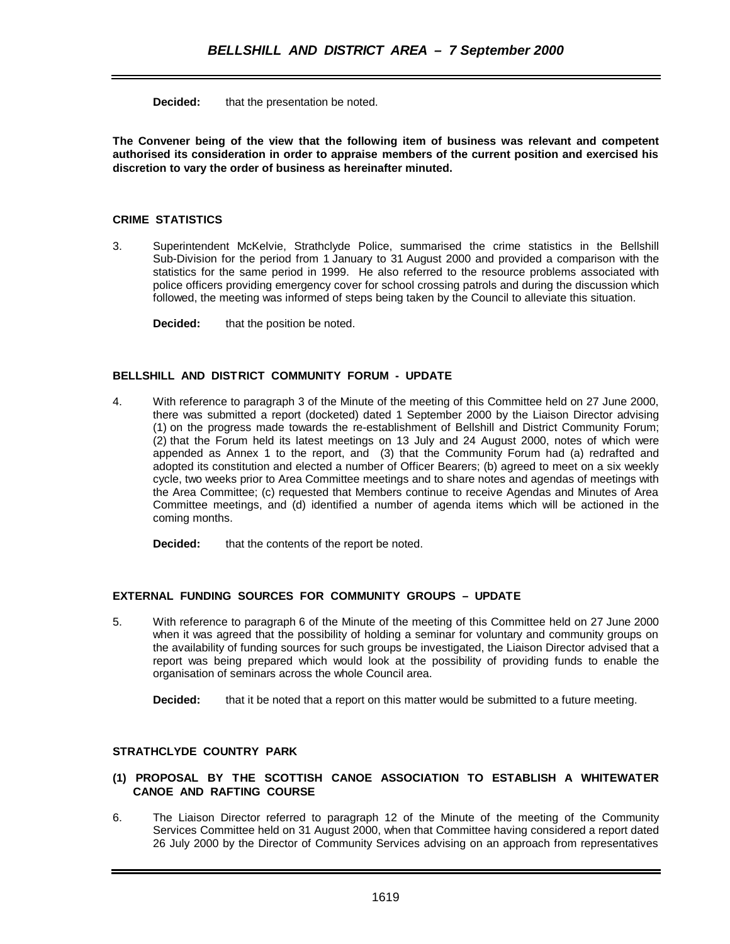**Decided:** that the presentation be noted.

**The Convener being of the view that the following item of business was relevant and competent authorised its consideration in order to appraise members of the current position and exercised his discretion to vary the order of business as hereinafter minuted.**

# **CRIME STATISTICS**

3. Superintendent McKelvie, Strathclyde Police, summarised the crime statistics in the Bellshill Sub-Division for the period from 1 January to 31 August 2000 and provided a comparison with the statistics for the same period in 1999. He also referred to the resource problems associated with police officers providing emergency cover for school crossing patrols and during the discussion which followed, the meeting was informed of steps being taken by the Council to alleviate this situation.

**Decided:** that the position be noted.

# **BELLSHILL AND DISTRICT COMMUNITY FORUM - UPDATE**

4. With reference to paragraph 3 of the Minute of the meeting of this Committee held on 27 June 2000, there was submitted a report (docketed) dated 1 September 2000 by the Liaison Director advising (1) on the progress made towards the re-establishment of Bellshill and District Community Forum; (2) that the Forum held its latest meetings on 13 July and 24 August 2000, notes of which were appended as Annex 1 to the report, and (3) that the Community Forum had (a) redrafted and adopted its constitution and elected a number of Officer Bearers; (b) agreed to meet on a six weekly cycle, two weeks prior to Area Committee meetings and to share notes and agendas of meetings with the Area Committee; (c) requested that Members continue to receive Agendas and Minutes of Area Committee meetings, and (d) identified a number of agenda items which will be actioned in the coming months.

**Decided:** that the contents of the report be noted.

# **EXTERNAL FUNDING SOURCES FOR COMMUNITY GROUPS – UPDATE**

5. With reference to paragraph 6 of the Minute of the meeting of this Committee held on 27 June 2000 when it was agreed that the possibility of holding a seminar for voluntary and community groups on the availability of funding sources for such groups be investigated, the Liaison Director advised that a report was being prepared which would look at the possibility of providing funds to enable the organisation of seminars across the whole Council area.

**Decided:** that it be noted that a report on this matter would be submitted to a future meeting.

# **STRATHCLYDE COUNTRY PARK**

# **(1) PROPOSAL BY THE SCOTTISH CANOE ASSOCIATION TO ESTABLISH A WHITEWATER CANOE AND RAFTING COURSE**

6. The Liaison Director referred to paragraph 12 of the Minute of the meeting of the Community Services Committee held on 31 August 2000, when that Committee having considered a report dated 26 July 2000 by the Director of Community Services advising on an approach from representatives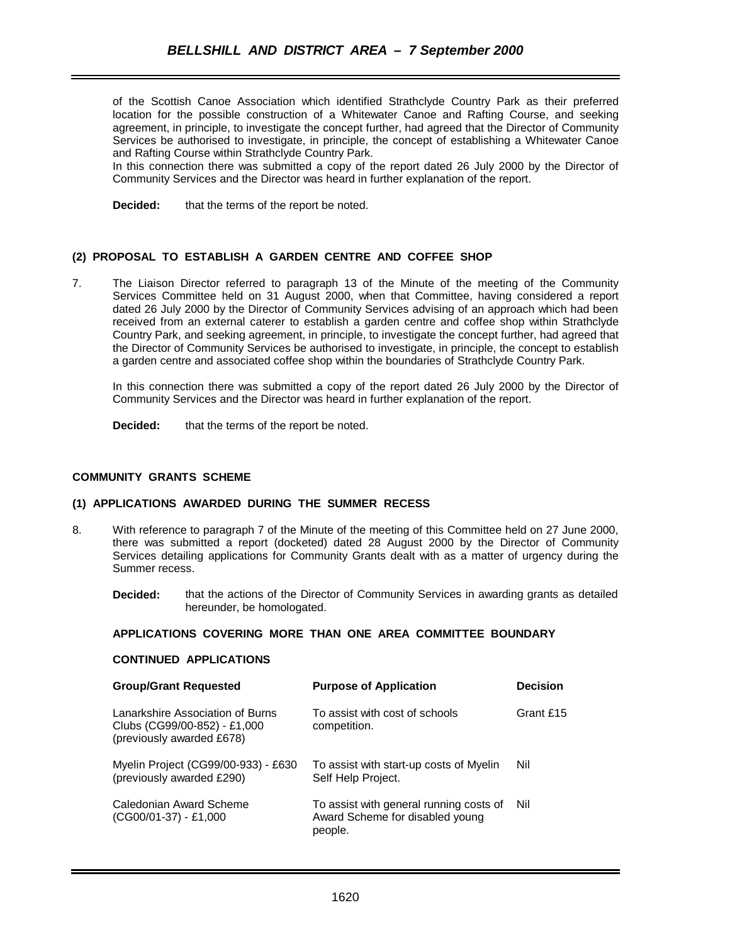of the Scottish Canoe Association which identified Strathclyde Country Park as their preferred location for the possible construction of a Whitewater Canoe and Rafting Course, and seeking agreement, in principle, to investigate the concept further, had agreed that the Director of Community Services be authorised to investigate, in principle, the concept of establishing a Whitewater Canoe and Rafting Course within Strathclyde Country Park.

In this connection there was submitted a copy of the report dated 26 July 2000 by the Director of Community Services and the Director was heard in further explanation of the report.

**Decided:** that the terms of the report be noted.

# **(2) PROPOSAL TO ESTABLISH A GARDEN CENTRE AND COFFEE SHOP**

7. The Liaison Director referred to paragraph 13 of the Minute of the meeting of the Community Services Committee held on 31 August 2000, when that Committee, having considered a report dated 26 July 2000 by the Director of Community Services advising of an approach which had been received from an external caterer to establish a garden centre and coffee shop within Strathclyde Country Park, and seeking agreement, in principle, to investigate the concept further, had agreed that the Director of Community Services be authorised to investigate, in principle, the concept to establish a garden centre and associated coffee shop within the boundaries of Strathclyde Country Park.

In this connection there was submitted a copy of the report dated 26 July 2000 by the Director of Community Services and the Director was heard in further explanation of the report.

**Decided:** that the terms of the report be noted.

### **COMMUNITY GRANTS SCHEME**

#### **(1) APPLICATIONS AWARDED DURING THE SUMMER RECESS**

- 8. With reference to paragraph 7 of the Minute of the meeting of this Committee held on 27 June 2000, there was submitted a report (docketed) dated 28 August 2000 by the Director of Community Services detailing applications for Community Grants dealt with as a matter of urgency during the Summer recess.
	- **Decided:** that the actions of the Director of Community Services in awarding grants as detailed hereunder, be homologated.

#### **APPLICATIONS COVERING MORE THAN ONE AREA COMMITTEE BOUNDARY**

#### **CONTINUED APPLICATIONS**

| <b>Group/Grant Requested</b>                                                                  | <b>Purpose of Application</b>                                                         | <b>Decision</b> |
|-----------------------------------------------------------------------------------------------|---------------------------------------------------------------------------------------|-----------------|
| Lanarkshire Association of Burns<br>Clubs (CG99/00-852) - £1,000<br>(previously awarded £678) | To assist with cost of schools<br>competition.                                        | Grant £15       |
| Myelin Project (CG99/00-933) - £630<br>(previously awarded £290)                              | To assist with start-up costs of Myelin<br>Self Help Project.                         | Nil             |
| Caledonian Award Scheme<br>$(CGO0/01-37) - £1,000$                                            | To assist with general running costs of<br>Award Scheme for disabled young<br>people. | Nil             |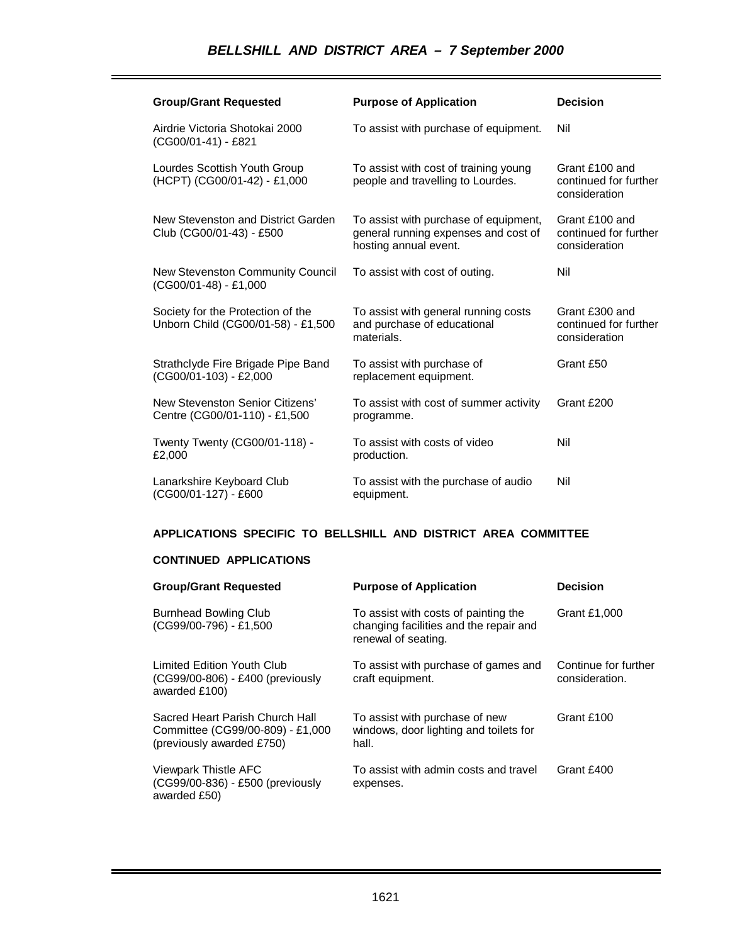# *BELLSHILL AND DISTRICT AREA – 7 September 2000*

| <b>Group/Grant Requested</b>                                            | <b>Purpose of Application</b>                                                                          | <b>Decision</b>                                          |
|-------------------------------------------------------------------------|--------------------------------------------------------------------------------------------------------|----------------------------------------------------------|
| Airdrie Victoria Shotokai 2000<br>(CG00/01-41) - £821                   | To assist with purchase of equipment.                                                                  | Nil                                                      |
| Lourdes Scottish Youth Group<br>(HCPT) (CG00/01-42) - £1,000            | To assist with cost of training young<br>people and travelling to Lourdes.                             | Grant £100 and<br>continued for further<br>consideration |
| New Stevenston and District Garden<br>Club (CG00/01-43) - £500          | To assist with purchase of equipment,<br>general running expenses and cost of<br>hosting annual event. | Grant £100 and<br>continued for further<br>consideration |
| New Stevenston Community Council<br>$(CG00/01-48) - £1,000$             | To assist with cost of outing.                                                                         | Nil                                                      |
| Society for the Protection of the<br>Unborn Child (CG00/01-58) - £1,500 | To assist with general running costs<br>and purchase of educational<br>materials.                      | Grant £300 and<br>continued for further<br>consideration |
| Strathclyde Fire Brigade Pipe Band<br>(CG00/01-103) - £2,000            | To assist with purchase of<br>replacement equipment.                                                   | Grant £50                                                |
| New Stevenston Senior Citizens'<br>Centre (CG00/01-110) - £1,500        | To assist with cost of summer activity<br>programme.                                                   | Grant £200                                               |
| Twenty Twenty (CG00/01-118) -<br>£2,000                                 | To assist with costs of video<br>production.                                                           | Nil                                                      |
| Lanarkshire Keyboard Club<br>(CG00/01-127) - £600                       | To assist with the purchase of audio<br>equipment.                                                     | Nil                                                      |

# **APPLICATIONS SPECIFIC TO BELLSHILL AND DISTRICT AREA COMMITTEE**

# **CONTINUED APPLICATIONS**

| <b>Group/Grant Requested</b>                                                                     | <b>Purpose of Application</b>                                                                         | <b>Decision</b>                        |
|--------------------------------------------------------------------------------------------------|-------------------------------------------------------------------------------------------------------|----------------------------------------|
| <b>Burnhead Bowling Club</b><br>(CG99/00-796) - £1,500                                           | To assist with costs of painting the<br>changing facilities and the repair and<br>renewal of seating. | Grant £1,000                           |
| <b>Limited Edition Youth Club</b><br>(CG99/00-806) - £400 (previously<br>awarded £100)           | To assist with purchase of games and<br>craft equipment.                                              | Continue for further<br>consideration. |
| Sacred Heart Parish Church Hall<br>Committee (CG99/00-809) - £1,000<br>(previously awarded £750) | To assist with purchase of new<br>windows, door lighting and toilets for<br>hall.                     | Grant £100                             |
| Viewpark Thistle AFC<br>(CG99/00-836) - £500 (previously<br>awarded £50)                         | To assist with admin costs and travel<br>expenses.                                                    | Grant £400                             |

ī.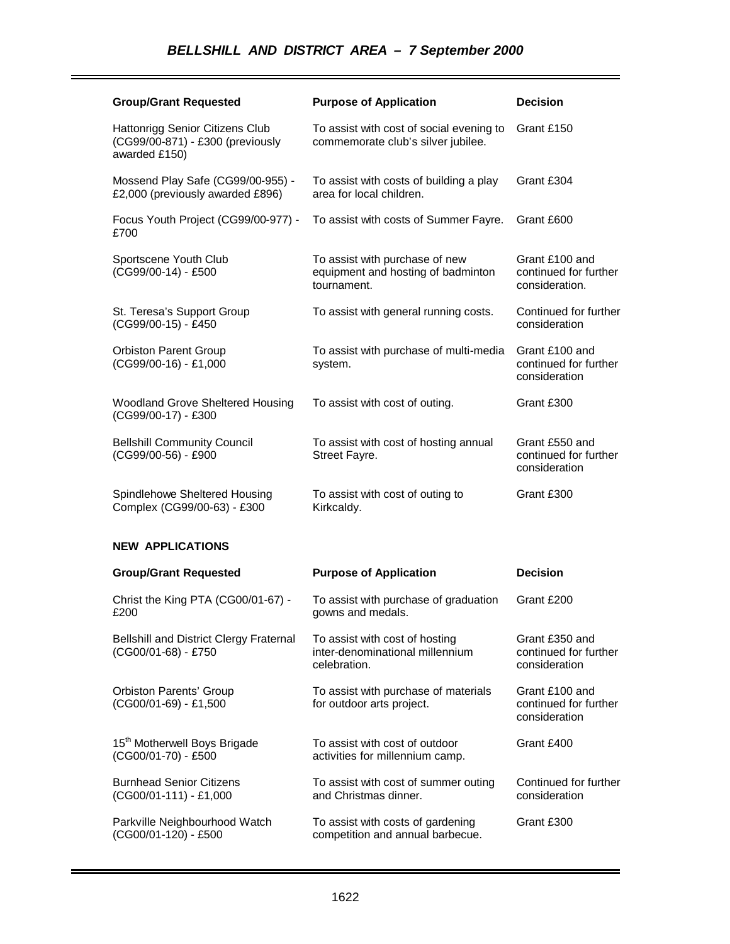| <b>Group/Grant Requested</b>                                                         | <b>Purpose of Application</b>                                                       | <b>Decision</b>                                           |
|--------------------------------------------------------------------------------------|-------------------------------------------------------------------------------------|-----------------------------------------------------------|
| Hattonrigg Senior Citizens Club<br>(CG99/00-871) - £300 (previously<br>awarded £150) | To assist with cost of social evening to<br>commemorate club's silver jubilee.      | Grant £150                                                |
| Mossend Play Safe (CG99/00-955) -<br>£2,000 (previously awarded £896)                | To assist with costs of building a play<br>area for local children.                 | Grant £304                                                |
| Focus Youth Project (CG99/00-977) -<br>£700                                          | To assist with costs of Summer Fayre.                                               | Grant £600                                                |
| Sportscene Youth Club<br>(CG99/00-14) - £500                                         | To assist with purchase of new<br>equipment and hosting of badminton<br>tournament. | Grant £100 and<br>continued for further<br>consideration. |
| St. Teresa's Support Group<br>(CG99/00-15) - £450                                    | To assist with general running costs.                                               | Continued for further<br>consideration                    |
| <b>Orbiston Parent Group</b><br>(CG99/00-16) - £1,000                                | To assist with purchase of multi-media<br>system.                                   | Grant £100 and<br>continued for further<br>consideration  |
| Woodland Grove Sheltered Housing<br>(CG99/00-17) - £300                              | To assist with cost of outing.                                                      | Grant £300                                                |
| <b>Bellshill Community Council</b><br>(CG99/00-56) - £900                            | To assist with cost of hosting annual<br>Street Fayre.                              | Grant £550 and<br>continued for further<br>consideration  |
| Spindlehowe Sheltered Housing<br>Complex (CG99/00-63) - £300                         | To assist with cost of outing to<br>Kirkcaldy.                                      | Grant £300                                                |
| <b>NEW APPLICATIONS</b>                                                              |                                                                                     |                                                           |
| <b>Group/Grant Requested</b>                                                         | <b>Purpose of Application</b>                                                       | <b>Decision</b>                                           |
| Christ the King PTA (CG00/01-67) -<br>£200                                           | To assist with purchase of graduation<br>gowns and medals.                          | Grant £200                                                |
| <b>Bellshill and District Clergy Fraternal</b><br>(CG00/01-68) - £750                | To assist with cost of hosting<br>inter-denominational millennium<br>celebration.   | Grant £350 and<br>continued for further<br>consideration  |
| <b>Orbiston Parents' Group</b><br>(CG00/01-69) - £1,500                              | To assist with purchase of materials<br>for outdoor arts project.                   | Grant £100 and<br>continued for further<br>consideration  |
| 15 <sup>th</sup> Motherwell Boys Brigade<br>(CG00/01-70) - £500                      | To assist with cost of outdoor<br>activities for millennium camp.                   | Grant £400                                                |
| <b>Burnhead Senior Citizens</b><br>$(CGO0/01-111) - £1,000$                          | To assist with cost of summer outing<br>and Christmas dinner.                       | Continued for further<br>consideration                    |
| Parkville Neighbourhood Watch                                                        | To assist with costs of gardening                                                   | Grant £300                                                |

competition and annual barbecue.

(CG00/01-120) - £500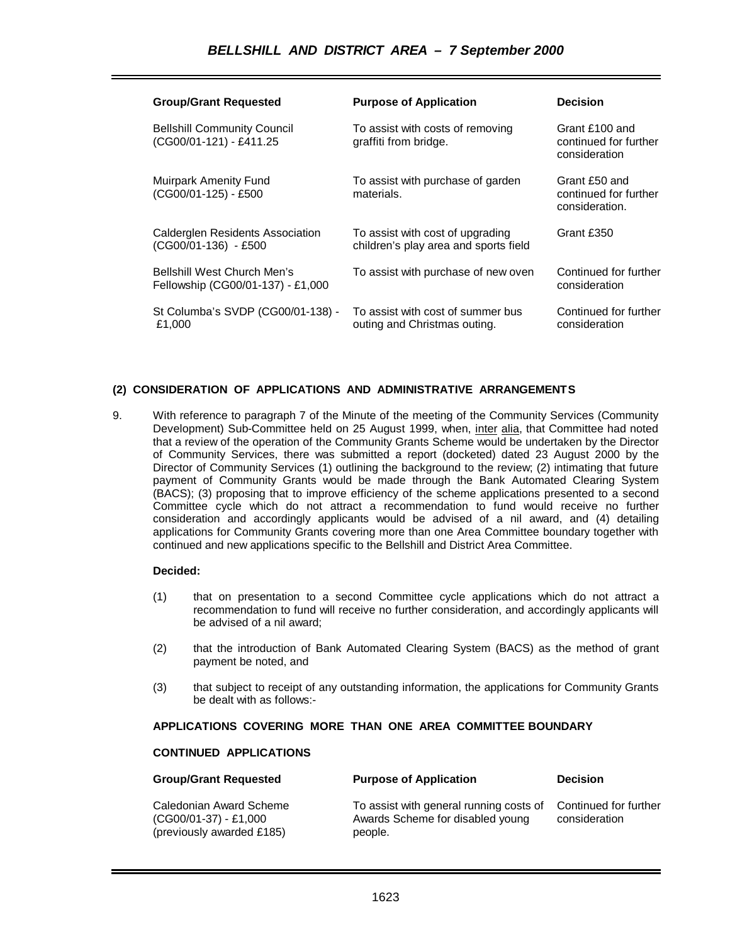| <b>Group/Grant Requested</b>                                            | <b>Purpose of Application</b>                                             | <b>Decision</b>                                          |
|-------------------------------------------------------------------------|---------------------------------------------------------------------------|----------------------------------------------------------|
| <b>Bellshill Community Council</b><br>(CG00/01-121) - £411.25           | To assist with costs of removing<br>graffiti from bridge.                 | Grant £100 and<br>continued for further<br>consideration |
| <b>Muirpark Amenity Fund</b><br>(CG00/01-125) - £500                    | To assist with purchase of garden<br>materials.                           | Grant £50 and<br>continued for further<br>consideration. |
| Calderglen Residents Association<br>(CG00/01-136) - £500                | To assist with cost of upgrading<br>children's play area and sports field | Grant £350                                               |
| <b>Bellshill West Church Men's</b><br>Fellowship (CG00/01-137) - £1,000 | To assist with purchase of new oven                                       | Continued for further<br>consideration                   |
| St Columba's SVDP (CG00/01-138) -<br>£1.000                             | To assist with cost of summer bus<br>outing and Christmas outing.         | Continued for further<br>consideration                   |

# **(2) CONSIDERATION OF APPLICATIONS AND ADMINISTRATIVE ARRANGEMENTS**

9. With reference to paragraph 7 of the Minute of the meeting of the Community Services (Community Development) Sub-Committee held on 25 August 1999, when, inter alia, that Committee had noted that a review of the operation of the Community Grants Scheme would be undertaken by the Director of Community Services, there was submitted a report (docketed) dated 23 August 2000 by the Director of Community Services (1) outlining the background to the review; (2) intimating that future payment of Community Grants would be made through the Bank Automated Clearing System (BACS); (3) proposing that to improve efficiency of the scheme applications presented to a second Committee cycle which do not attract a recommendation to fund would receive no further consideration and accordingly applicants would be advised of a nil award, and (4) detailing applications for Community Grants covering more than one Area Committee boundary together with continued and new applications specific to the Bellshill and District Area Committee.

#### **Decided:**

- (1) that on presentation to a second Committee cycle applications which do not attract a recommendation to fund will receive no further consideration, and accordingly applicants will be advised of a nil award;
- (2) that the introduction of Bank Automated Clearing System (BACS) as the method of grant payment be noted, and
- (3) that subject to receipt of any outstanding information, the applications for Community Grants be dealt with as follows:-

# **APPLICATIONS COVERING MORE THAN ONE AREA COMMITTEE BOUNDARY**

#### **CONTINUED APPLICATIONS**

| <b>Group/Grant Requested</b>                                                    | <b>Purpose of Application</b>                                                          | <b>Decision</b>                        |
|---------------------------------------------------------------------------------|----------------------------------------------------------------------------------------|----------------------------------------|
| Caledonian Award Scheme<br>$(CG00/01-37) - £1,000$<br>(previously awarded £185) | To assist with general running costs of<br>Awards Scheme for disabled young<br>people. | Continued for further<br>consideration |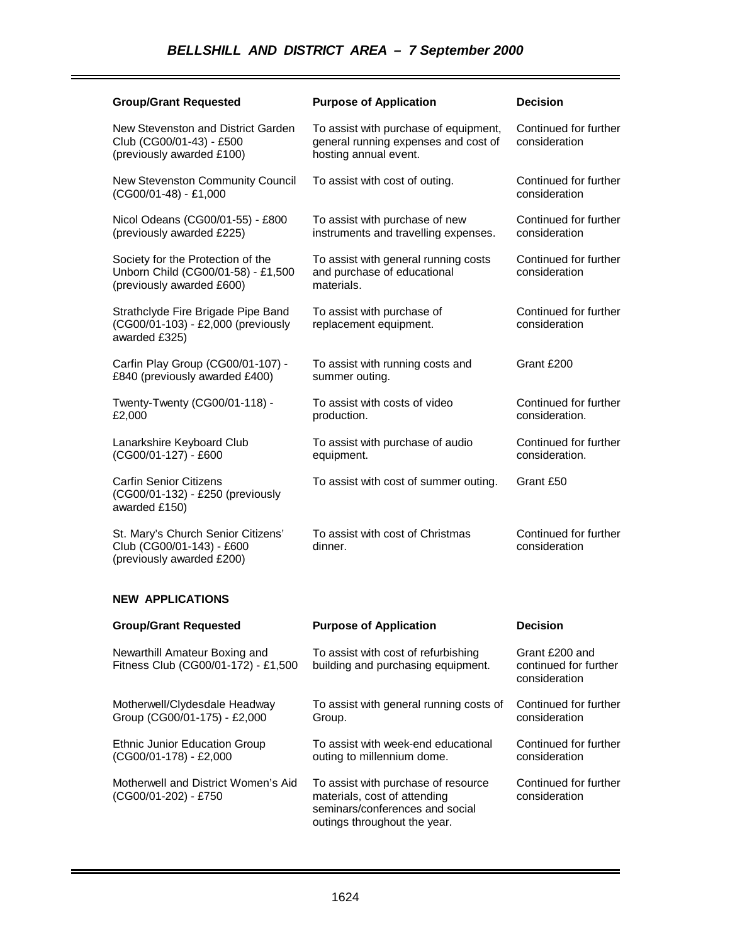| <b>Group/Grant Requested</b>                                                                         | <b>Purpose of Application</b>                                                                          | <b>Decision</b>                         |
|------------------------------------------------------------------------------------------------------|--------------------------------------------------------------------------------------------------------|-----------------------------------------|
| New Stevenston and District Garden<br>Club (CG00/01-43) - £500<br>(previously awarded £100)          | To assist with purchase of equipment,<br>general running expenses and cost of<br>hosting annual event. | Continued for further<br>consideration  |
| New Stevenston Community Council<br>(CG00/01-48) - £1,000                                            | To assist with cost of outing.                                                                         | Continued for further<br>consideration  |
| Nicol Odeans (CG00/01-55) - £800<br>(previously awarded £225)                                        | To assist with purchase of new<br>instruments and travelling expenses.                                 | Continued for further<br>consideration  |
| Society for the Protection of the<br>Unborn Child (CG00/01-58) - £1,500<br>(previously awarded £600) | To assist with general running costs<br>and purchase of educational<br>materials.                      | Continued for further<br>consideration  |
| Strathclyde Fire Brigade Pipe Band<br>(CG00/01-103) - £2,000 (previously<br>awarded £325)            | To assist with purchase of<br>replacement equipment.                                                   | Continued for further<br>consideration  |
| Carfin Play Group (CG00/01-107) -<br>£840 (previously awarded £400)                                  | To assist with running costs and<br>summer outing.                                                     | Grant £200                              |
| Twenty-Twenty (CG00/01-118) -<br>£2,000                                                              | To assist with costs of video<br>production.                                                           | Continued for further<br>consideration. |
| Lanarkshire Keyboard Club<br>(CG00/01-127) - £600                                                    | To assist with purchase of audio<br>equipment.                                                         | Continued for further<br>consideration. |
| <b>Carfin Senior Citizens</b><br>(CG00/01-132) - £250 (previously<br>awarded £150)                   | To assist with cost of summer outing.                                                                  | Grant £50                               |
| St. Mary's Church Senior Citizens'<br>Club (CG00/01-143) - £600<br>(previously awarded £200)         | To assist with cost of Christmas<br>dinner.                                                            | Continued for further<br>consideration  |

# **NEW APPLICATIONS**

| <b>Group/Grant Requested</b>                                         | <b>Purpose of Application</b>                                                                                                          | <b>Decision</b>                                          |
|----------------------------------------------------------------------|----------------------------------------------------------------------------------------------------------------------------------------|----------------------------------------------------------|
| Newarthill Amateur Boxing and<br>Fitness Club (CG00/01-172) - £1,500 | To assist with cost of refurbishing<br>building and purchasing equipment.                                                              | Grant £200 and<br>continued for further<br>consideration |
| Motherwell/Clydesdale Headway<br>Group (CG00/01-175) - £2,000        | To assist with general running costs of<br>Group.                                                                                      | Continued for further<br>consideration                   |
| <b>Ethnic Junior Education Group</b><br>(CG00/01-178) - £2,000       | To assist with week-end educational<br>outing to millennium dome.                                                                      | Continued for further<br>consideration                   |
| Motherwell and District Women's Aid<br>(CG00/01-202) - £750          | To assist with purchase of resource<br>materials, cost of attending<br>seminars/conferences and social<br>outings throughout the year. | Continued for further<br>consideration                   |

٠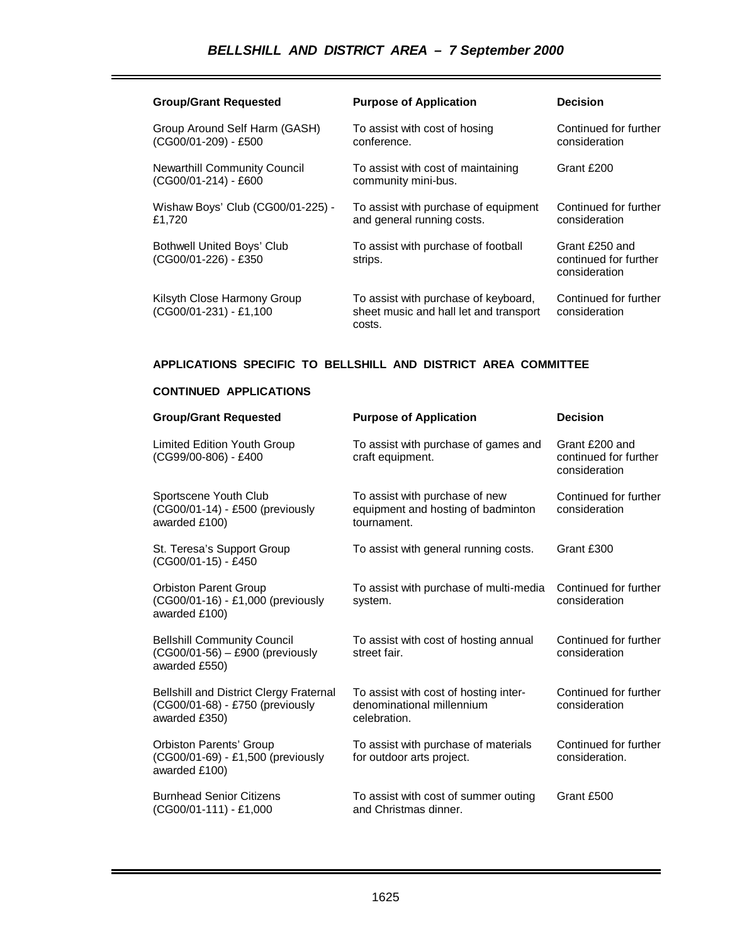# *BELLSHILL AND DISTRICT AREA – 7 September 2000*

| <b>Group/Grant Requested</b>                                | <b>Purpose of Application</b>                                                            | <b>Decision</b>                                          |
|-------------------------------------------------------------|------------------------------------------------------------------------------------------|----------------------------------------------------------|
| Group Around Self Harm (GASH)<br>(CG00/01-209) - £500       | To assist with cost of hosing<br>conference.                                             | Continued for further<br>consideration                   |
| <b>Newarthill Community Council</b><br>(CG00/01-214) - £600 | To assist with cost of maintaining<br>community mini-bus.                                | Grant £200                                               |
| Wishaw Boys' Club (CG00/01-225) -<br>£1,720                 | To assist with purchase of equipment<br>and general running costs.                       | Continued for further<br>consideration                   |
| Bothwell United Boys' Club<br>(CG00/01-226) - £350          | To assist with purchase of football<br>strips.                                           | Grant £250 and<br>continued for further<br>consideration |
| Kilsyth Close Harmony Group<br>(CG00/01-231) - £1,100       | To assist with purchase of keyboard,<br>sheet music and hall let and transport<br>costs. | Continued for further<br>consideration                   |

# **APPLICATIONS SPECIFIC TO BELLSHILL AND DISTRICT AREA COMMITTEE**

# **CONTINUED APPLICATIONS**

| <b>Group/Grant Requested</b>                                                                | <b>Purpose of Application</b>                                                       | <b>Decision</b>                                          |
|---------------------------------------------------------------------------------------------|-------------------------------------------------------------------------------------|----------------------------------------------------------|
| <b>Limited Edition Youth Group</b><br>(CG99/00-806) - £400                                  | To assist with purchase of games and<br>craft equipment.                            | Grant £200 and<br>continued for further<br>consideration |
| Sportscene Youth Club<br>(CG00/01-14) - £500 (previously<br>awarded £100)                   | To assist with purchase of new<br>equipment and hosting of badminton<br>tournament. | Continued for further<br>consideration                   |
| St. Teresa's Support Group<br>(CG00/01-15) - £450                                           | To assist with general running costs.                                               | Grant £300                                               |
| <b>Orbiston Parent Group</b><br>(CG00/01-16) - £1,000 (previously<br>awarded £100)          | To assist with purchase of multi-media<br>system.                                   | Continued for further<br>consideration                   |
| <b>Bellshill Community Council</b><br>(CG00/01-56) - £900 (previously<br>awarded £550)      | To assist with cost of hosting annual<br>street fair.                               | Continued for further<br>consideration                   |
| Bellshill and District Clergy Fraternal<br>(CG00/01-68) - £750 (previously<br>awarded £350) | To assist with cost of hosting inter-<br>denominational millennium<br>celebration.  | Continued for further<br>consideration                   |
| <b>Orbiston Parents' Group</b><br>(CG00/01-69) - £1,500 (previously<br>awarded £100)        | To assist with purchase of materials<br>for outdoor arts project.                   | Continued for further<br>consideration.                  |
| <b>Burnhead Senior Citizens</b><br>$(CGO0/01-111) - £1,000$                                 | To assist with cost of summer outing<br>and Christmas dinner.                       | Grant £500                                               |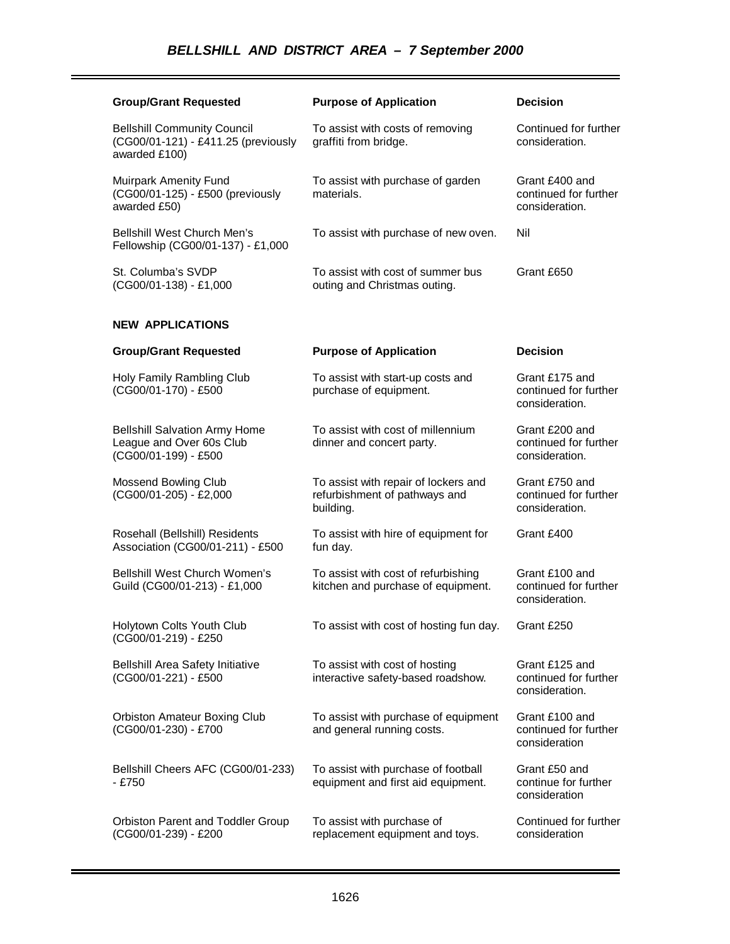| <b>Group/Grant Requested</b>                                                               | <b>Purpose of Application</b>                                                      | <b>Decision</b>                                           |
|--------------------------------------------------------------------------------------------|------------------------------------------------------------------------------------|-----------------------------------------------------------|
| <b>Bellshill Community Council</b><br>(CG00/01-121) - £411.25 (previously<br>awarded £100) | To assist with costs of removing<br>graffiti from bridge.                          | Continued for further<br>consideration.                   |
| Muirpark Amenity Fund<br>(CG00/01-125) - £500 (previously<br>awarded £50)                  | To assist with purchase of garden<br>materials.                                    | Grant £400 and<br>continued for further<br>consideration. |
| <b>Bellshill West Church Men's</b><br>Fellowship (CG00/01-137) - £1,000                    | To assist with purchase of new oven.                                               | Nil                                                       |
| St. Columba's SVDP<br>(CG00/01-138) - £1,000                                               | To assist with cost of summer bus<br>outing and Christmas outing.                  | Grant £650                                                |
| <b>NEW APPLICATIONS</b>                                                                    |                                                                                    |                                                           |
| <b>Group/Grant Requested</b>                                                               | <b>Purpose of Application</b>                                                      | <b>Decision</b>                                           |
| Holy Family Rambling Club<br>(CG00/01-170) - £500                                          | To assist with start-up costs and<br>purchase of equipment.                        | Grant £175 and<br>continued for further<br>consideration. |
| <b>Bellshill Salvation Army Home</b><br>League and Over 60s Club<br>(CG00/01-199) - £500   | To assist with cost of millennium<br>dinner and concert party.                     | Grant £200 and<br>continued for further<br>consideration. |
| Mossend Bowling Club<br>(CG00/01-205) - £2,000                                             | To assist with repair of lockers and<br>refurbishment of pathways and<br>building. | Grant £750 and<br>continued for further<br>consideration. |
| Rosehall (Bellshill) Residents<br>Association (CG00/01-211) - £500                         | To assist with hire of equipment for<br>fun day.                                   | Grant £400                                                |
| <b>Bellshill West Church Women's</b><br>Guild (CG00/01-213) - £1,000                       | To assist with cost of refurbishing<br>kitchen and purchase of equipment.          | Grant £100 and<br>continued for further<br>consideration. |
| Holytown Colts Youth Club<br>(CG00/01-219) - £250                                          | To assist with cost of hosting fun day.                                            | Grant £250                                                |
| <b>Bellshill Area Safety Initiative</b><br>(CG00/01-221) - £500                            | To assist with cost of hosting<br>interactive safety-based roadshow.               | Grant £125 and<br>continued for further<br>consideration. |
| Orbiston Amateur Boxing Club<br>(CG00/01-230) - £700                                       | To assist with purchase of equipment<br>and general running costs.                 | Grant £100 and<br>continued for further<br>consideration  |
| Bellshill Cheers AFC (CG00/01-233)<br>$-£750$                                              | To assist with purchase of football<br>equipment and first aid equipment.          | Grant £50 and<br>continue for further<br>consideration    |
| Orbiston Parent and Toddler Group<br>(CG00/01-239) - £200                                  | To assist with purchase of<br>replacement equipment and toys.                      | Continued for further<br>consideration                    |

۰